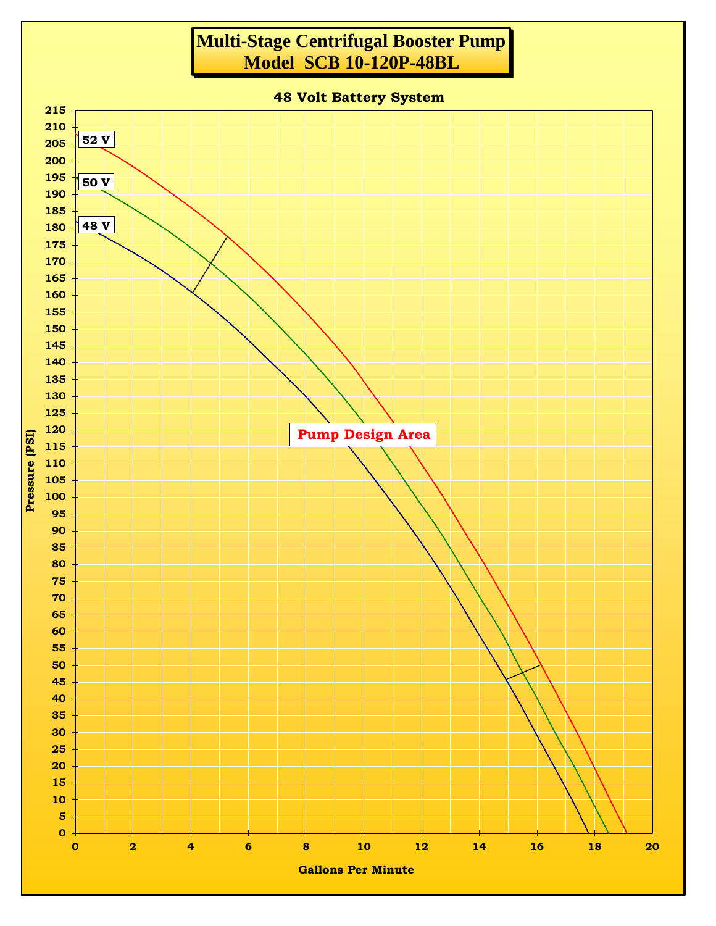